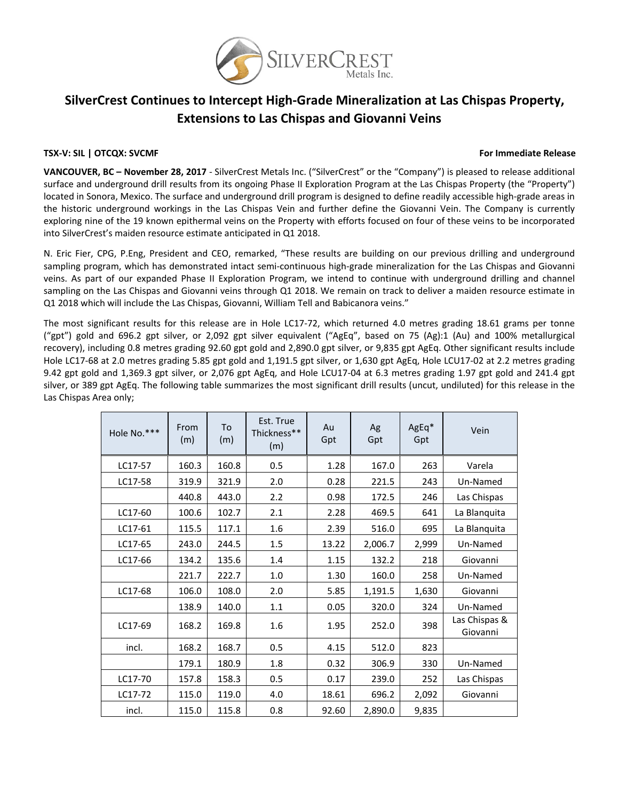

# **SilverCrest Continues to Intercept High‐Grade Mineralization at Las Chispas Property, Extensions to Las Chispas and Giovanni Veins**

### **TSX‐V: SIL | OTCQX: SVCMF For Immediate Release**

**VANCOUVER, BC – November 28, 2017** ‐ SilverCrest Metals Inc. ("SilverCrest" or the "Company") is pleased to release additional surface and underground drill results from its ongoing Phase II Exploration Program at the Las Chispas Property (the "Property") located in Sonora, Mexico. The surface and underground drill program is designed to define readily accessible high‐grade areas in the historic underground workings in the Las Chispas Vein and further define the Giovanni Vein. The Company is currently exploring nine of the 19 known epithermal veins on the Property with efforts focused on four of these veins to be incorporated into SilverCrest's maiden resource estimate anticipated in Q1 2018.

N. Eric Fier, CPG, P.Eng, President and CEO, remarked, "These results are building on our previous drilling and underground sampling program, which has demonstrated intact semi-continuous high-grade mineralization for the Las Chispas and Giovanni veins. As part of our expanded Phase II Exploration Program, we intend to continue with underground drilling and channel sampling on the Las Chispas and Giovanni veins through Q1 2018. We remain on track to deliver a maiden resource estimate in Q1 2018 which will include the Las Chispas, Giovanni, William Tell and Babicanora veins."

The most significant results for this release are in Hole LC17-72, which returned 4.0 metres grading 18.61 grams per tonne ("gpt") gold and 696.2 gpt silver, or 2,092 gpt silver equivalent ("AgEq", based on 75 (Ag):1 (Au) and 100% metallurgical recovery), including 0.8 metres grading 92.60 gpt gold and 2,890.0 gpt silver, or 9,835 gpt AgEq. Other significant results include Hole LC17‐68 at 2.0 metres grading 5.85 gpt gold and 1,191.5 gpt silver, or 1,630 gpt AgEq, Hole LCU17‐02 at 2.2 metres grading 9.42 gpt gold and 1,369.3 gpt silver, or 2,076 gpt AgEq, and Hole LCU17‐04 at 6.3 metres grading 1.97 gpt gold and 241.4 gpt silver, or 389 gpt AgEq. The following table summarizes the most significant drill results (uncut, undiluted) for this release in the Las Chispas Area only;

| Hole No.*** | From<br>(m) | To<br>(m) | Est. True<br>Thickness**<br>(m) | Au<br>Gpt | Ag<br>Gpt | AgEq*<br>Gpt | Vein                      |
|-------------|-------------|-----------|---------------------------------|-----------|-----------|--------------|---------------------------|
| LC17-57     | 160.3       | 160.8     | 0.5                             | 1.28      | 167.0     | 263          | Varela                    |
| LC17-58     | 319.9       | 321.9     | 2.0                             | 0.28      | 221.5     | 243          | Un-Named                  |
|             | 440.8       | 443.0     | 2.2                             | 0.98      | 172.5     | 246          | Las Chispas               |
| LC17-60     | 100.6       | 102.7     | 2.1                             | 2.28      | 469.5     | 641          | La Blanquita              |
| LC17-61     | 115.5       | 117.1     | 1.6                             | 2.39      | 516.0     | 695          | La Blanquita              |
| LC17-65     | 243.0       | 244.5     | 1.5                             | 13.22     | 2,006.7   | 2,999        | Un-Named                  |
| LC17-66     | 134.2       | 135.6     | 1.4                             | 1.15      | 132.2     | 218          | Giovanni                  |
|             | 221.7       | 222.7     | 1.0                             | 1.30      | 160.0     | 258          | Un-Named                  |
| LC17-68     | 106.0       | 108.0     | 2.0                             | 5.85      | 1,191.5   | 1,630        | Giovanni                  |
|             | 138.9       | 140.0     | 1.1                             | 0.05      | 320.0     | 324          | Un-Named                  |
| LC17-69     | 168.2       | 169.8     | 1.6                             | 1.95      | 252.0     | 398          | Las Chispas &<br>Giovanni |
| incl.       | 168.2       | 168.7     | 0.5                             | 4.15      | 512.0     | 823          |                           |
|             | 179.1       | 180.9     | 1.8                             | 0.32      | 306.9     | 330          | Un-Named                  |
| LC17-70     | 157.8       | 158.3     | 0.5                             | 0.17      | 239.0     | 252          | Las Chispas               |
| LC17-72     | 115.0       | 119.0     | 4.0                             | 18.61     | 696.2     | 2,092        | Giovanni                  |
| incl.       | 115.0       | 115.8     | 0.8                             | 92.60     | 2,890.0   | 9,835        |                           |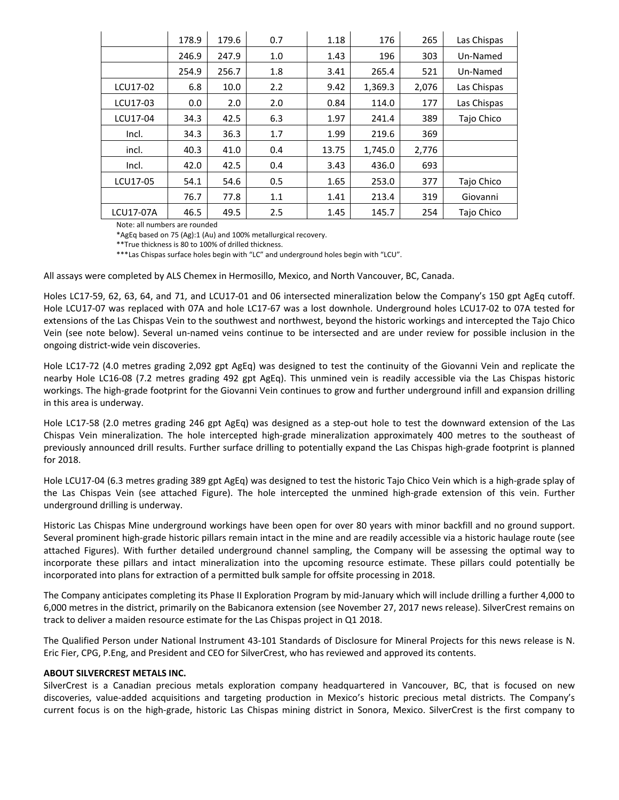|                  | 178.9 | 179.6 | 0.7 | 1.18  | 176     | 265   | Las Chispas |
|------------------|-------|-------|-----|-------|---------|-------|-------------|
|                  | 246.9 | 247.9 | 1.0 | 1.43  | 196     | 303   | Un-Named    |
|                  | 254.9 | 256.7 | 1.8 | 3.41  | 265.4   | 521   | Un-Named    |
| LCU17-02         | 6.8   | 10.0  | 2.2 | 9.42  | 1,369.3 | 2,076 | Las Chispas |
| LCU17-03         | 0.0   | 2.0   | 2.0 | 0.84  | 114.0   | 177   | Las Chispas |
| LCU17-04         | 34.3  | 42.5  | 6.3 | 1.97  | 241.4   | 389   | Tajo Chico  |
| Incl.            | 34.3  | 36.3  | 1.7 | 1.99  | 219.6   | 369   |             |
| incl.            | 40.3  | 41.0  | 0.4 | 13.75 | 1,745.0 | 2,776 |             |
| Incl.            | 42.0  | 42.5  | 0.4 | 3.43  | 436.0   | 693   |             |
| LCU17-05         | 54.1  | 54.6  | 0.5 | 1.65  | 253.0   | 377   | Tajo Chico  |
|                  | 76.7  | 77.8  | 1.1 | 1.41  | 213.4   | 319   | Giovanni    |
| <b>LCU17-07A</b> | 46.5  | 49.5  | 2.5 | 1.45  | 145.7   | 254   | Tajo Chico  |

Note: all numbers are rounded

\*AgEq based on 75 (Ag):1 (Au) and 100% metallurgical recovery.

\*\*True thickness is 80 to 100% of drilled thickness.

\*\*\*Las Chispas surface holes begin with "LC" and underground holes begin with "LCU".

All assays were completed by ALS Chemex in Hermosillo, Mexico, and North Vancouver, BC, Canada.

Holes LC17‐59, 62, 63, 64, and 71, and LCU17‐01 and 06 intersected mineralization below the Company's 150 gpt AgEq cutoff. Hole LCU17‐07 was replaced with 07A and hole LC17‐67 was a lost downhole. Underground holes LCU17‐02 to 07A tested for extensions of the Las Chispas Vein to the southwest and northwest, beyond the historic workings and intercepted the Tajo Chico Vein (see note below). Several un‐named veins continue to be intersected and are under review for possible inclusion in the ongoing district‐wide vein discoveries.

Hole LC17‐72 (4.0 metres grading 2,092 gpt AgEq) was designed to test the continuity of the Giovanni Vein and replicate the nearby Hole LC16‐08 (7.2 metres grading 492 gpt AgEq). This unmined vein is readily accessible via the Las Chispas historic workings. The high‐grade footprint for the Giovanni Vein continues to grow and further underground infill and expansion drilling in this area is underway.

Hole LC17-58 (2.0 metres grading 246 gpt AgEq) was designed as a step-out hole to test the downward extension of the Las Chispas Vein mineralization. The hole intercepted high‐grade mineralization approximately 400 metres to the southeast of previously announced drill results. Further surface drilling to potentially expand the Las Chispas high‐grade footprint is planned for 2018.

Hole LCU17‐04 (6.3 metres grading 389 gpt AgEq) was designed to test the historic Tajo Chico Vein which is a high‐grade splay of the Las Chispas Vein (see attached Figure). The hole intercepted the unmined high‐grade extension of this vein. Further underground drilling is underway.

Historic Las Chispas Mine underground workings have been open for over 80 years with minor backfill and no ground support. Several prominent high‐grade historic pillars remain intact in the mine and are readily accessible via a historic haulage route (see attached Figures). With further detailed underground channel sampling, the Company will be assessing the optimal way to incorporate these pillars and intact mineralization into the upcoming resource estimate. These pillars could potentially be incorporated into plans for extraction of a permitted bulk sample for offsite processing in 2018.

The Company anticipates completing its Phase II Exploration Program by mid‐January which will include drilling a further 4,000 to 6,000 metres in the district, primarily on the Babicanora extension (see November 27, 2017 news release). SilverCrest remains on track to deliver a maiden resource estimate for the Las Chispas project in Q1 2018.

The Qualified Person under National Instrument 43‐101 Standards of Disclosure for Mineral Projects for this news release is N. Eric Fier, CPG, P.Eng, and President and CEO for SilverCrest, who has reviewed and approved its contents.

#### **ABOUT SILVERCREST METALS INC.**

SilverCrest is a Canadian precious metals exploration company headquartered in Vancouver, BC, that is focused on new discoveries, value‐added acquisitions and targeting production in Mexico's historic precious metal districts. The Company's current focus is on the high‐grade, historic Las Chispas mining district in Sonora, Mexico. SilverCrest is the first company to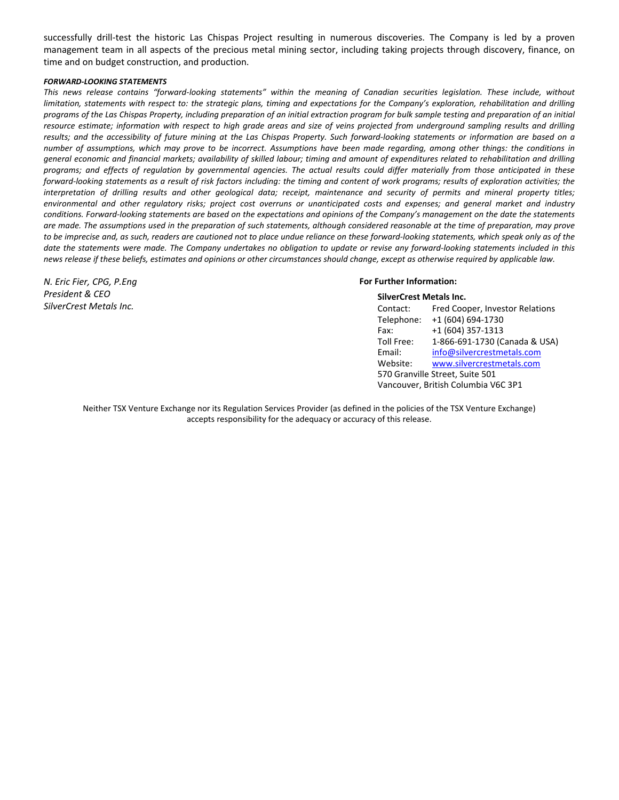successfully drill-test the historic Las Chispas Project resulting in numerous discoveries. The Company is led by a proven management team in all aspects of the precious metal mining sector, including taking projects through discovery, finance, on time and on budget construction, and production.

#### *FORWARD‐LOOKING STATEMENTS*

This news release contains "forward-looking statements" within the meaning of Canadian securities legislation. These include, without limitation, statements with respect to: the strategic plans, timing and expectations for the Company's exploration, rehabilitation and drilling programs of the Las Chispas Property, including preparation of an initial extraction program for bulk sample testing and preparation of an initial resource estimate; information with respect to high grade areas and size of veins projected from underground sampling results and drilling results; and the accessibility of future mining at the Las Chispas Property. Such forward-looking statements or information are based on a number of assumptions, which may prove to be incorrect. Assumptions have been made regarding, among other things: the conditions in general economic and financial markets; availability of skilled labour; timing and amount of expenditures related to rehabilitation and drilling programs; and effects of regulation by governmental agencies. The actual results could differ materially from those anticipated in these forward-looking statements as a result of risk factors including: the timing and content of work programs; results of exploration activities; the interpretation of drilling results and other geological data; receipt, maintenance and security of permits and mineral property titles; environmental and other regulatory risks; project cost overruns or unanticipated costs and expenses; and general market and industry conditions. Forward-looking statements are based on the expectations and opinions of the Company's management on the date the statements are made. The assumptions used in the preparation of such statements, although considered reasonable at the time of preparation, may prove to be imprecise and, as such, readers are cautioned not to place undue reliance on these forward-looking statements, which speak only as of the date the statements were made. The Company undertakes no obligation to update or revise any forward-looking statements included in this news release if these beliefs, estimates and opinions or other circumstances should change, except as otherwise required by applicable law.

## *N. Eric Fier, CPG, P.Eng President & CEO SilverCrest Metals Inc.*

#### **For Further Information:**

| <b>SilverCrest Metals Inc.</b>      |                                 |  |  |  |
|-------------------------------------|---------------------------------|--|--|--|
| Contact:                            | Fred Cooper, Investor Relations |  |  |  |
| Telephone:                          | +1 (604) 694-1730               |  |  |  |
| Fax:                                | +1 (604) 357-1313               |  |  |  |
| Toll Free:                          | 1-866-691-1730 (Canada & USA)   |  |  |  |
| Email:                              | info@silvercrestmetals.com      |  |  |  |
| Website:                            | www.silvercrestmetals.com       |  |  |  |
| 570 Granville Street, Suite 501     |                                 |  |  |  |
| Vancouver, British Columbia V6C 3P1 |                                 |  |  |  |

Neither TSX Venture Exchange nor its Regulation Services Provider (as defined in the policies of the TSX Venture Exchange) accepts responsibility for the adequacy or accuracy of this release.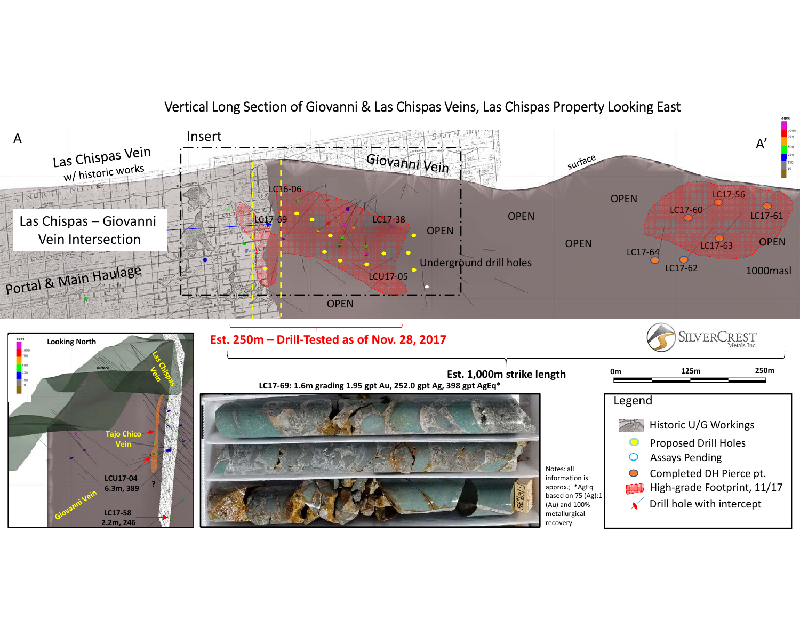

Vertical Long Section of Giovanni & Las Chispas Veins, Las Chispas Property Looking East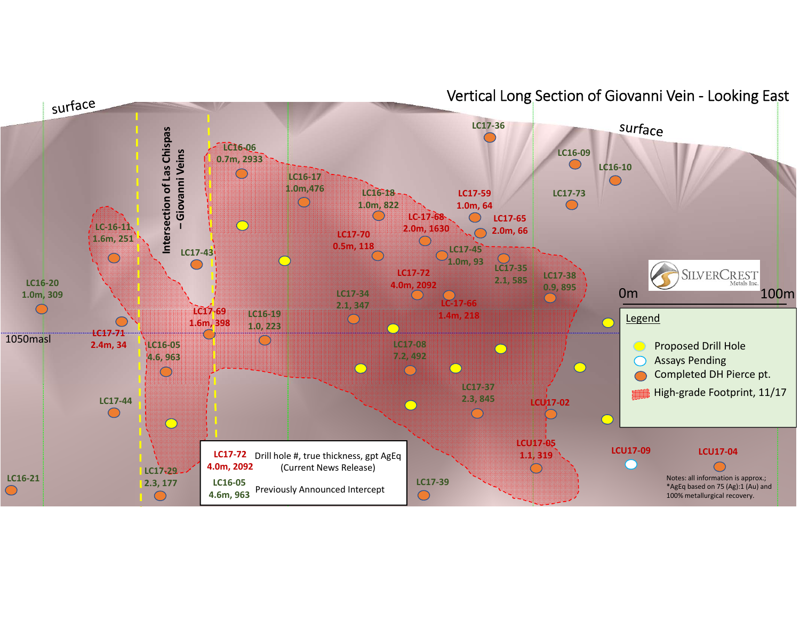

Vertical Long Section of Giovanni Vein ‐ Looking East